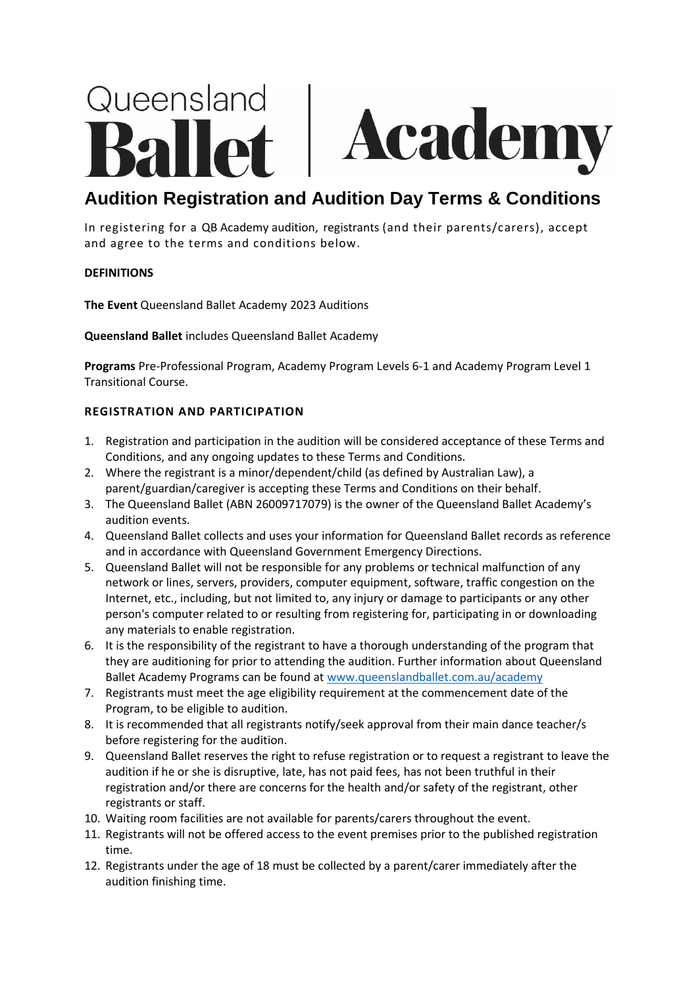# Queensland Academ

# **Audition Registration and Audition Day Terms & Conditions**

In registering for a QB Academy audition, registrants (and their parents/carers), accept and agree to the terms and conditions below.

# **DEFINITIONS**

**The Event** Queensland Ballet Academy 2023 Auditions

**Queensland Ballet** includes Queensland Ballet Academy

**Programs** Pre-Professional Program, Academy Program Levels 6-1 and Academy Program Level 1 Transitional Course.

# **REGISTRATION AND PARTICIPATION**

- 1. Registration and participation in the audition will be considered acceptance of these Terms and Conditions, and any ongoing updates to these Terms and Conditions.
- 2. Where the registrant is a minor/dependent/child (as defined by Australian Law), a parent/guardian/caregiver is accepting these Terms and Conditions on their behalf.
- 3. The Queensland Ballet (ABN 26009717079) is the owner of the Queensland Ballet Academy's audition events.
- 4. Queensland Ballet collects and uses your information for Queensland Ballet records as reference and in accordance with Queensland Government Emergency Directions.
- 5. Queensland Ballet will not be responsible for any problems or technical malfunction of any network or lines, servers, providers, computer equipment, software, traffic congestion on the Internet, etc., including, but not limited to, any injury or damage to participants or any other person's computer related to or resulting from registering for, participating in or downloading any materials to enable registration.
- 6. It is the responsibility of the registrant to have a thorough understanding of the program that they are auditioning for prior to attending the audition. Further information about Queensland Ballet Academy Programs can be found at [www.queenslandballet.com.au/academy](http://www.queenslandballet.com.au/academy)
- 7. Registrants must meet the age eligibility requirement at the commencement date of the Program, to be eligible to audition.
- 8. It is recommended that all registrants notify/seek approval from their main dance teacher/s before registering for the audition.
- 9. Queensland Ballet reserves the right to refuse registration or to request a registrant to leave the audition if he or she is disruptive, late, has not paid fees, has not been truthful in their registration and/or there are concerns for the health and/or safety of the registrant, other registrants or staff.
- 10. Waiting room facilities are not available for parents/carers throughout the event.
- 11. Registrants will not be offered access to the event premises prior to the published registration time.
- 12. Registrants under the age of 18 must be collected by a parent/carer immediately after the audition finishing time.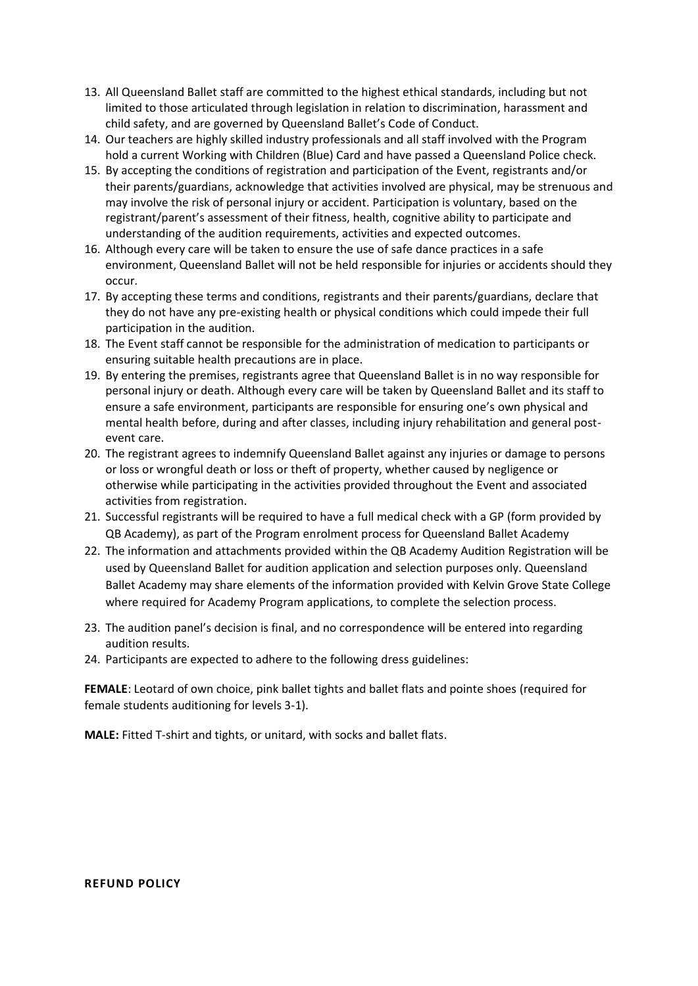- 13. All Queensland Ballet staff are committed to the highest ethical standards, including but not limited to those articulated through legislation in relation to discrimination, harassment and child safety, and are governed by Queensland Ballet's Code of Conduct.
- 14. Our teachers are highly skilled industry professionals and all staff involved with the Program hold a current Working with Children (Blue) Card and have passed a Queensland Police check.
- 15. By accepting the conditions of registration and participation of the Event, registrants and/or their parents/guardians, acknowledge that activities involved are physical, may be strenuous and may involve the risk of personal injury or accident. Participation is voluntary, based on the registrant/parent's assessment of their fitness, health, cognitive ability to participate and understanding of the audition requirements, activities and expected outcomes.
- 16. Although every care will be taken to ensure the use of safe dance practices in a safe environment, Queensland Ballet will not be held responsible for injuries or accidents should they occur.
- 17. By accepting these terms and conditions, registrants and their parents/guardians, declare that they do not have any pre-existing health or physical conditions which could impede their full participation in the audition.
- 18. The Event staff cannot be responsible for the administration of medication to participants or ensuring suitable health precautions are in place.
- 19. By entering the premises, registrants agree that Queensland Ballet is in no way responsible for personal injury or death. Although every care will be taken by Queensland Ballet and its staff to ensure a safe environment, participants are responsible for ensuring one's own physical and mental health before, during and after classes, including injury rehabilitation and general postevent care.
- 20. The registrant agrees to indemnify Queensland Ballet against any injuries or damage to persons or loss or wrongful death or loss or theft of property, whether caused by negligence or otherwise while participating in the activities provided throughout the Event and associated activities from registration.
- 21. Successful registrants will be required to have a full medical check with a GP (form provided by QB Academy), as part of the Program enrolment process for Queensland Ballet Academy
- 22. The information and attachments provided within the QB Academy Audition Registration will be used by Queensland Ballet for audition application and selection purposes only. Queensland Ballet Academy may share elements of the information provided with Kelvin Grove State College where required for Academy Program applications, to complete the selection process.
- 23. The audition panel's decision is final, and no correspondence will be entered into regarding audition results.
- 24. Participants are expected to adhere to the following dress guidelines:

**FEMALE**: Leotard of own choice, pink ballet tights and ballet flats and pointe shoes (required for female students auditioning for levels 3-1).

**MALE:** Fitted T-shirt and tights, or unitard, with socks and ballet flats.

#### **REFUND POLICY**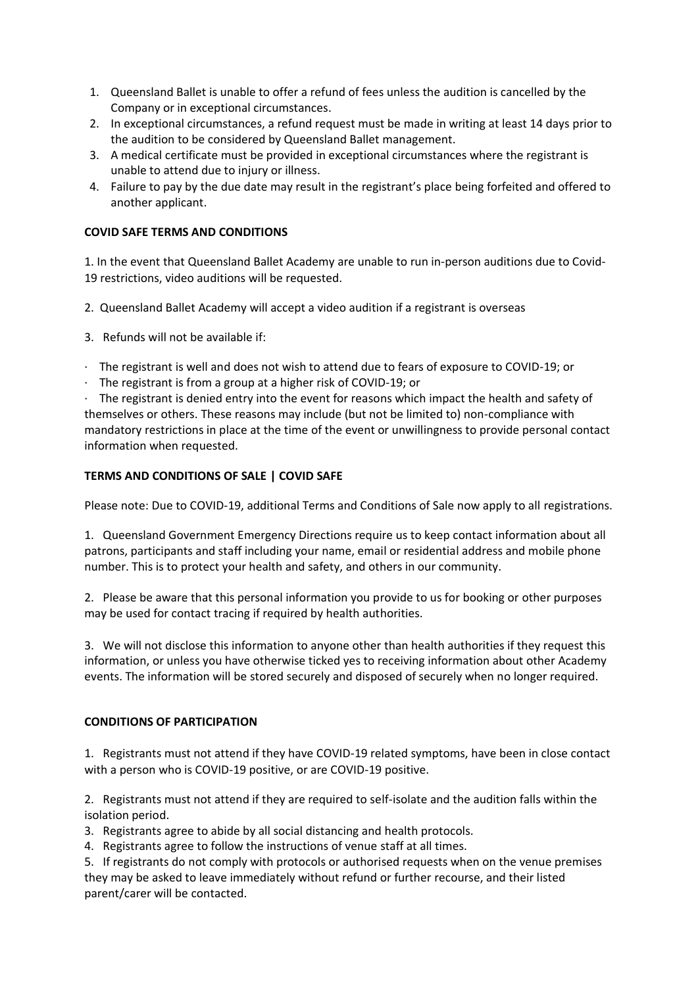- 1. Queensland Ballet is unable to offer a refund of fees unless the audition is cancelled by the Company or in exceptional circumstances.
- 2. In exceptional circumstances, a refund request must be made in writing at least 14 days prior to the audition to be considered by Queensland Ballet management.
- 3. A medical certificate must be provided in exceptional circumstances where the registrant is unable to attend due to injury or illness.
- 4. Failure to pay by the due date may result in the registrant's place being forfeited and offered to another applicant.

# **COVID SAFE TERMS AND CONDITIONS**

1. In the event that Queensland Ballet Academy are unable to run in-person auditions due to Covid-19 restrictions, video auditions will be requested.

- 2. Queensland Ballet Academy will accept a video audition if a registrant is overseas
- 3. Refunds will not be available if:
- · The registrant is well and does not wish to attend due to fears of exposure to COVID-19; or
- · The registrant is from a group at a higher risk of COVID-19; or

· The registrant is denied entry into the event for reasons which impact the health and safety of themselves or others. These reasons may include (but not be limited to) non-compliance with mandatory restrictions in place at the time of the event or unwillingness to provide personal contact information when requested.

# **TERMS AND CONDITIONS OF SALE | COVID SAFE**

Please note: Due to COVID-19, additional Terms and Conditions of Sale now apply to all registrations.

1. Queensland Government Emergency Directions require us to keep contact information about all patrons, participants and staff including your name, email or residential address and mobile phone number. This is to protect your health and safety, and others in our community.

2. Please be aware that this personal information you provide to us for booking or other purposes may be used for contact tracing if required by health authorities.

3. We will not disclose this information to anyone other than health authorities if they request this information, or unless you have otherwise ticked yes to receiving information about other Academy events. The information will be stored securely and disposed of securely when no longer required.

## **CONDITIONS OF PARTICIPATION**

1. Registrants must not attend if they have COVID-19 related symptoms, have been in close contact with a person who is COVID-19 positive, or are COVID-19 positive.

2. Registrants must not attend if they are required to self-isolate and the audition falls within the isolation period.

3. Registrants agree to abide by all social distancing and health protocols.

4. Registrants agree to follow the instructions of venue staff at all times.

5. If registrants do not comply with protocols or authorised requests when on the venue premises they may be asked to leave immediately without refund or further recourse, and their listed parent/carer will be contacted.